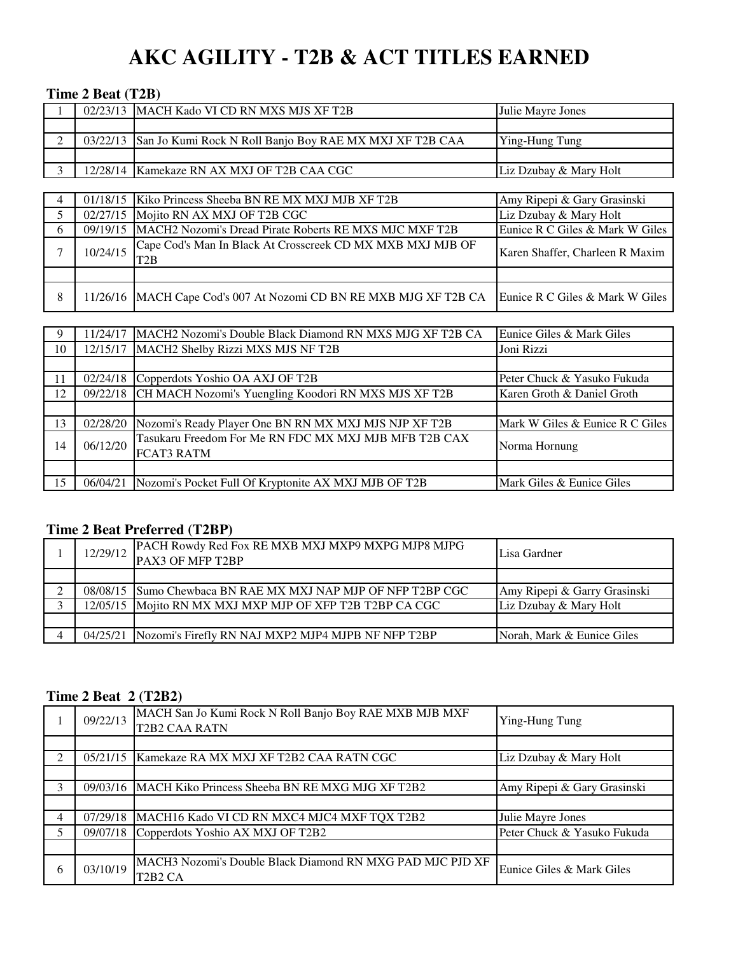# **AKC AGILITY - T2B & ACT TITLES EARNED**

#### **Time 2 Beat (T2B)**

|                | $\mathbf{1}$ mut $\mathbf{2}$ beat ( $\mathbf{1}$ $\mathbf{2}$ b) |                                                                                |                                 |  |  |
|----------------|-------------------------------------------------------------------|--------------------------------------------------------------------------------|---------------------------------|--|--|
|                |                                                                   | 02/23/13 MACH Kado VI CD RN MXS MJS XF T2B                                     | Julie Mayre Jones               |  |  |
|                |                                                                   |                                                                                |                                 |  |  |
| $\mathfrak{D}$ | 03/22/13                                                          | San Jo Kumi Rock N Roll Banjo Boy RAE MX MXJ XF T2B CAA                        | Ying-Hung Tung                  |  |  |
|                |                                                                   |                                                                                |                                 |  |  |
| $\mathbf{3}$   |                                                                   | 12/28/14   Kamekaze RN AX MXJ OF T2B CAA CGC                                   | Liz Dzubay & Mary Holt          |  |  |
|                |                                                                   |                                                                                |                                 |  |  |
| 4              | 01/18/15                                                          | Kiko Princess Sheeba BN RE MX MXJ MJB XF T2B                                   | Amy Ripepi & Gary Grasinski     |  |  |
| 5              | 02/27/15                                                          | Mojito RN AX MXJ OF T2B CGC                                                    | Liz Dzubay & Mary Holt          |  |  |
| 6              | 09/19/15                                                          | MACH2 Nozomi's Dread Pirate Roberts RE MXS MJC MXF T2B                         | Eunice R C Giles & Mark W Giles |  |  |
| $\overline{7}$ | 10/24/15                                                          | Cape Cod's Man In Black At Crosscreek CD MX MXB MXJ MJB OF<br>T <sub>2</sub> B | Karen Shaffer, Charleen R Maxim |  |  |
|                |                                                                   |                                                                                |                                 |  |  |
| 8              |                                                                   | 11/26/16   MACH Cape Cod's 007 At Nozomi CD BN RE MXB MJG XF T2B CA            | Eunice R C Giles & Mark W Giles |  |  |

| -9  | 1/24/17  | MACH2 Nozomi's Double Black Diamond RN MXS MJG XF T2B CA | Eunice Giles & Mark Giles       |  |  |  |
|-----|----------|----------------------------------------------------------|---------------------------------|--|--|--|
| 10  | 12/15/17 | MACH2 Shelby Rizzi MXS MJS NF T2B                        | Joni Rizzi                      |  |  |  |
|     |          |                                                          |                                 |  |  |  |
| -11 | 02/24/18 | Copperdots Yoshio OA AXJ OF T2B                          | Peter Chuck & Yasuko Fukuda     |  |  |  |
| 12  | 09/22/18 | CH MACH Nozomi's Yuengling Koodori RN MXS MJS XF T2B     | Karen Groth & Daniel Groth      |  |  |  |
|     |          |                                                          |                                 |  |  |  |
| 13  | 02/28/20 | Nozomi's Ready Player One BN RN MX MXJ MJS NJP XF T2B    | Mark W Giles & Eunice R C Giles |  |  |  |
| 14  | 06/12/20 | Tasukaru Freedom For Me RN FDC MX MXJ MJB MFB T2B CAX    | Norma Hornung                   |  |  |  |
|     |          | <b>FCAT3 RATM</b>                                        |                                 |  |  |  |
|     |          |                                                          |                                 |  |  |  |
| 15  | 06/04/21 | Nozomi's Pocket Full Of Kryptonite AX MXJ MJB OF T2B     | Mark Giles & Eunice Giles       |  |  |  |

#### **Time 2 Beat Preferred (T2BP)**

| 12/29/12 | PACH Rowdy Red Fox RE MXB MXJ MXP9 MXPG MJP8 MJPG<br>PAX3 OF MFP T2BP | Lisa Gardner                 |
|----------|-----------------------------------------------------------------------|------------------------------|
|          |                                                                       |                              |
|          | 08/08/15 Sumo Chewbaca BN RAE MX MXJ NAP MJP OF NFP T2BP CGC          | Amy Ripepi & Garry Grasinski |
|          | 12/05/15 Mojito RN MX MXJ MXP MJP OF XFP T2B T2BP CA CGC              | Liz Dzubay & Mary Holt       |
|          |                                                                       |                              |
|          | 04/25/21 Nozomi's Firefly RN NAJ MXP2 MJP4 MJPB NF NFP T2BP           | Norah, Mark & Eunice Giles   |

## **Time 2 Beat 2 (T2B2)**

|                | 09/22/13 | MACH San Jo Kumi Rock N Roll Banjo Boy RAE MXB MJB MXF<br><b>T2B2 CAA RATN</b>                | Ying-Hung Tung              |
|----------------|----------|-----------------------------------------------------------------------------------------------|-----------------------------|
|                |          |                                                                                               |                             |
| $\mathfrak{D}$ | 05/21/15 | Kamekaze RA MX MXJ XF T2B2 CAA RATN CGC                                                       | Liz Dzubay & Mary Holt      |
|                |          |                                                                                               |                             |
| 3              | 09/03/16 | MACH Kiko Princess Sheeba BN RE MXG MJG XF T2B2                                               | Amy Ripepi & Gary Grasinski |
|                |          |                                                                                               |                             |
| 4              | 07/29/18 | MACH16 Kado VI CD RN MXC4 MJC4 MXF TQX T2B2                                                   | Julie Mayre Jones           |
| 5              | 09/07/18 | Copperdots Yoshio AX MXJ OF T2B2                                                              | Peter Chuck & Yasuko Fukuda |
|                |          |                                                                                               |                             |
| 6              | 03/10/19 | MACH3 Nozomi's Double Black Diamond RN MXG PAD MJC PJD XF<br>T <sub>2</sub> B <sub>2</sub> CA | Eunice Giles & Mark Giles   |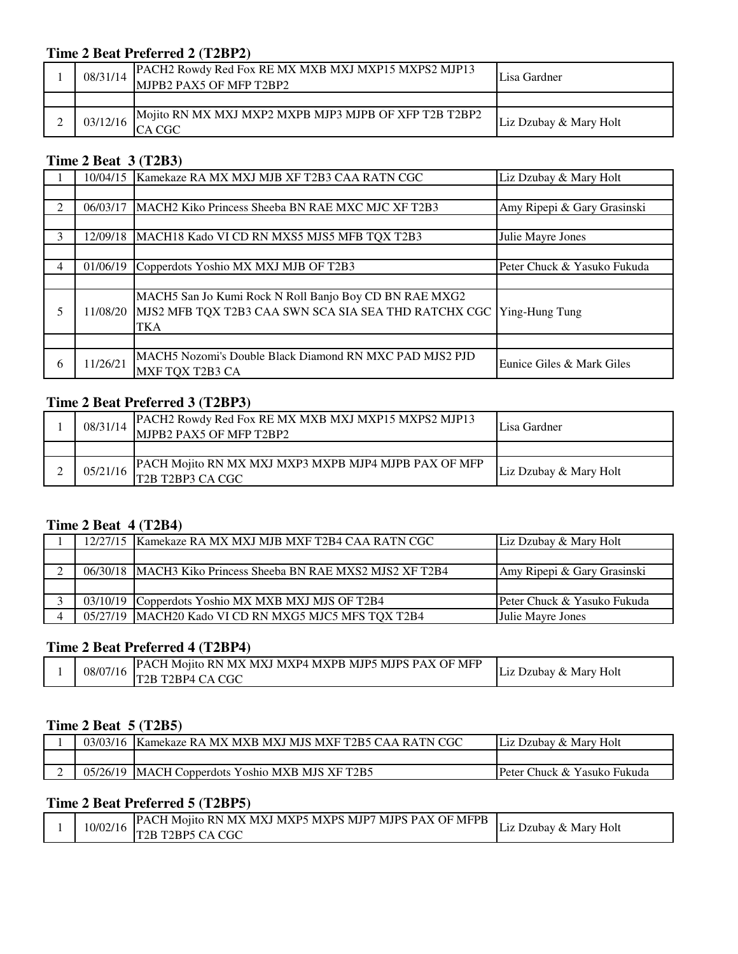## **Time 2 Beat Preferred 2 (T2BP2)**

| 08/31/14 | PACH2 Rowdy Red Fox RE MX MXB MXJ MXP15 MXPS2 MJP13<br>MJPB2 PAX5 OF MFP T2BP2 | Lisa Gardner           |
|----------|--------------------------------------------------------------------------------|------------------------|
|          |                                                                                |                        |
| 03/12/16 | Mojito RN MX MXJ MXP2 MXPB MJP3 MJPB OF XFP T2B T2BP2                          | Liz Dzubay & Mary Holt |

## **Time 2 Beat 3 (T2B3)**

|                | 10/04/15 | Kamekaze RA MX MXJ MJB XF T2B3 CAA RATN CGC                                                                                  | Liz Dzubay & Mary Holt      |
|----------------|----------|------------------------------------------------------------------------------------------------------------------------------|-----------------------------|
|                |          |                                                                                                                              |                             |
| $\mathfrak{D}$ | 06/03/17 | MACH2 Kiko Princess Sheeba BN RAE MXC MJC XF T2B3                                                                            | Amy Ripepi & Gary Grasinski |
|                |          |                                                                                                                              |                             |
| 3              | 12/09/18 | MACH18 Kado VI CD RN MXS5 MJS5 MFB TQX T2B3                                                                                  | Julie Mayre Jones           |
|                |          |                                                                                                                              |                             |
| 4              | 01/06/19 | Copperdots Yoshio MX MXJ MJB OF T2B3                                                                                         | Peter Chuck & Yasuko Fukuda |
|                |          |                                                                                                                              |                             |
| 5              | 11/08/20 | MACH5 San Jo Kumi Rock N Roll Banjo Boy CD BN RAE MXG2<br>MJS2 MFB TQX T2B3 CAA SWN SCA SIA SEA THD RATCHX CGC<br><b>TKA</b> | Ying-Hung Tung              |
|                |          |                                                                                                                              |                             |
| 6              | 11/26/21 | MACH5 Nozomi's Double Black Diamond RN MXC PAD MJS2 PJD<br>MXF TQX T2B3 CA                                                   | Eunice Giles & Mark Giles   |

#### **Time 2 Beat Preferred 3 (T2BP3)**

| 08/31/14 | PACH2 Rowdy Red Fox RE MX MXB MXJ MXP15 MXPS2 MJP13<br>MJPB2 PAX5 OF MFP T2BP2 | Lisa Gardner           |
|----------|--------------------------------------------------------------------------------|------------------------|
|          |                                                                                |                        |
| 05/21/16 | PACH Mojito RN MX MXJ MXP3 MXPB MJP4 MJPB PAX OF MFP<br>T2B T2BP3 CA CGC       | Liz Dzubay & Mary Holt |

## **Time 2 Beat 4 (T2B4)**

|  | 12/27/15 Kamekaze RA MX MXJ MJB MXF T2B4 CAA RATN CGC        | Liz Dzubay & Mary Holt      |
|--|--------------------------------------------------------------|-----------------------------|
|  |                                                              |                             |
|  | 06/30/18 MACH3 Kiko Princess Sheeba BN RAE MXS2 MJS2 XF T2B4 | Amy Ripepi & Gary Grasinski |
|  |                                                              |                             |
|  | 03/10/19 Copperdots Yoshio MX MXB MXJ MJS OF T2B4            | Peter Chuck & Yasuko Fukuda |
|  | 05/27/19 MACH20 Kado VI CD RN MXG5 MJC5 MFS TQX T2B4         | Julie Mayre Jones           |

## **Time 2 Beat Preferred 4 (T2BP4)**

|  | 08/07/16 | <b>PACH Mojito RN MX MXJ MXP4 MXPB MJP5 MJPS PAX OF MFP</b> | Liz Dzubay & Mary Holt |
|--|----------|-------------------------------------------------------------|------------------------|
|  |          | T <sub>2</sub> B T <sub>2</sub> BP <sub>4</sub> CA CGC      |                        |

## **Time 2 Beat 5 (T2B5)**

| 03/03/16 | <b>IKamekaze RA MX MXB MXJ MJS MXF T2B5 CAA RATN CGC</b> | Liz Dzubay & Mary Holt           |
|----------|----------------------------------------------------------|----------------------------------|
|          |                                                          |                                  |
| 05/26/19 | MACH Copperdots Yoshio MXB MJS XF T2B5                   | · Chuck & Yasuko Fukuda<br>Peter |

## **Time 2 Beat Preferred 5 (T2BP5)**

|  | 10/02/16 | <b>IPACH Mojito RN MX MXJ MXP5 MXPS MJP7</b><br>' MJPS PAX OF MFPB | Liz<br>Holt    |
|--|----------|--------------------------------------------------------------------|----------------|
|  |          | T <sub>2</sub> BP <sub>5</sub><br>T2B<br>i CA CGC                  | ⊥Dzubav & Marv |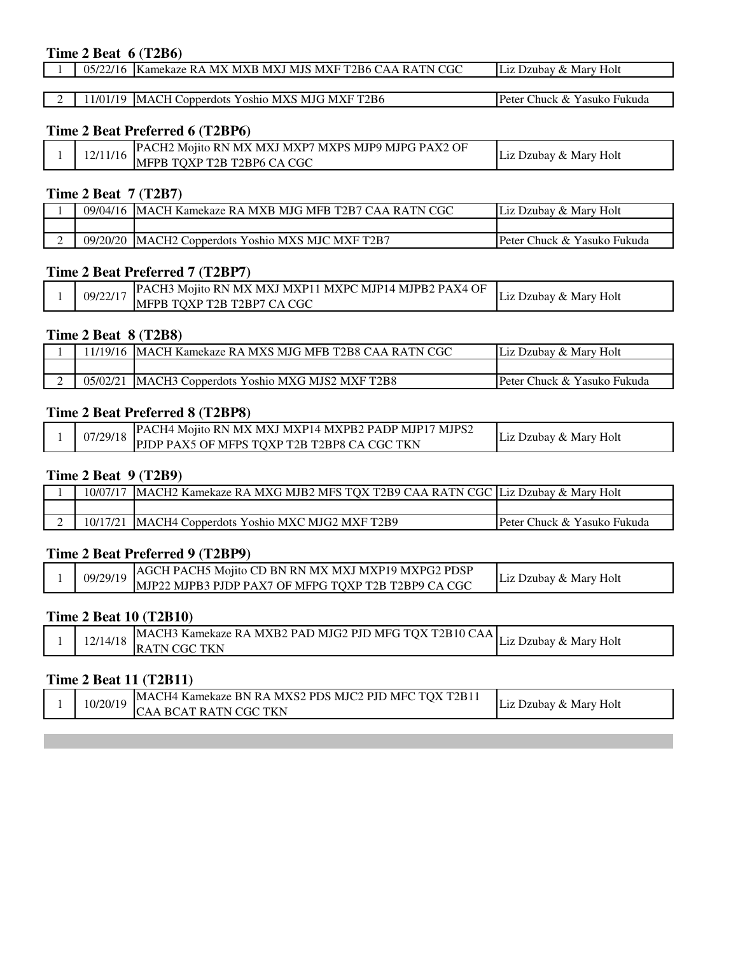#### **Time 2 Beat 6 (T2B6)**

|  |  | 05/22/16 Kamekaze RA MX MXB MXJ MJS MXF T2B6 CAA RATN CGC | Liz Dzubay & Mary Holt |  |  |  |
|--|--|-----------------------------------------------------------|------------------------|--|--|--|
|--|--|-----------------------------------------------------------|------------------------|--|--|--|

2 11/01/19 MACH Copperdots Yoshio MXS MJG MXF T2B6 Peter Chuck & Yasuko Fukuda

#### **Time 2 Beat Preferred 6 (T2BP6)**

|  | 1 7 / 1 1 | ? Mojito RN MX MXJ MXP7 MXPS MJP9 MJPG PAX2 OF<br>PACH <sub>2</sub> | : Dzubav & Marv Holt |
|--|-----------|---------------------------------------------------------------------|----------------------|
|  | 11/16     | IMFPB TOXP T2B T2BP6 CA CGC                                         | L1Z                  |

#### **Time 2 Beat 7 (T2B7)**

| 09/04/16 | [ Kamekaze RA MXB MJG MFB T2B7 CAA ]<br>IMACH | Holt<br>: Dzubav & Marv<br>L1Z |
|----------|-----------------------------------------------|--------------------------------|
|          |                                               |                                |
| 09/20/20 | Copperdots Yoshio MXS MJC MXF T2B7<br>MACH2   | Peter Chuck & Yasuko Fukuda    |

#### **Time 2 Beat Preferred 7 (T2BP7)**

|  | 09/22/17 | [PACH3 Mojito RN MX MXJ MXP11 MXPC MJP14 MJPB2 PAX4 OF | Dzubay & Mary Holt |
|--|----------|--------------------------------------------------------|--------------------|
|  |          | MFPB TOXP T2B T2BP7 CA CGC                             | L1Z.               |

#### **Time 2 Beat 8 (T2B8)**

| 1/19/16  | IMACH Kamekaze RA MXS MJG MFB T2B8 CAA RATN CGC   | Liz Dzubay & Mary Holt                  |
|----------|---------------------------------------------------|-----------------------------------------|
|          |                                                   |                                         |
| 05/02/21 | <b>IMACH3</b> Copperdots Yoshio MXG MJS2 MXF T2B8 | <b>IPeter Chuck &amp; Yasuko Fukuda</b> |

#### **Time 2 Beat Preferred 8 (T2BP8)**

|  | 07/29/18 | PAC<br>CH4 Mojito RN MX MXJ MXP14 MXPB2 PADP MJP17 | 7 MJPS2 | : Dzubav & Marv Holt |
|--|----------|----------------------------------------------------|---------|----------------------|
|  |          | <b>PIDP PAX5 OF MFPS TOXP T2B T2BP8 CA CGC TKN</b> |         | H .17.               |

#### **Time 2 Beat 9 (T2B9)**

| 10/07/17 | IMACH2 Kamekaze RA MXG MJB2 MFS TOX T2B9 CAA RATN CGC LLiz Dzubay & Mary Holt |                             |
|----------|-------------------------------------------------------------------------------|-----------------------------|
|          |                                                                               |                             |
|          | <b>IMACH4 Copperdots Yoshio MXC MJG2 MXF T2B9</b>                             | Peter Chuck & Yasuko Fukuda |

#### **Time 2 Beat Preferred 9 (T2BP9)**

|  |          | <b>AGCH PACH5 Mojito CD BN RN MX MXJ MXP19 MXPG2 PDSP</b> | Liz Dzubay & Mary Holt |
|--|----------|-----------------------------------------------------------|------------------------|
|  | 09/29/19 | MJP22 MJPB3 PJDP PAX7 OF MFPG TOXP T2B T2BP9 CA CGC       |                        |

#### **Time 2 Beat 10 (T2B10)**

|  | 12/14/18 | MACH3 Kamekaze RA MXB2 PAD MJG2 PJD MFG TOX T2B10 CAA, | Dzubay & Mary Holt<br>L17. |
|--|----------|--------------------------------------------------------|----------------------------|
|  |          | <b>\TN CGC TKN</b><br>IRA                              |                            |

#### **Time 2 Beat 11 (T2B11)**

|  | 10/20/19 | MACH4 Kamekaze BN RA MXS2 PDS MJC2 PJD MFC TQX T2B11 | : Dzubay & Mary Holt |
|--|----------|------------------------------------------------------|----------------------|
|  |          | . BCAT RATN CGC TKN<br>`AA                           |                      |